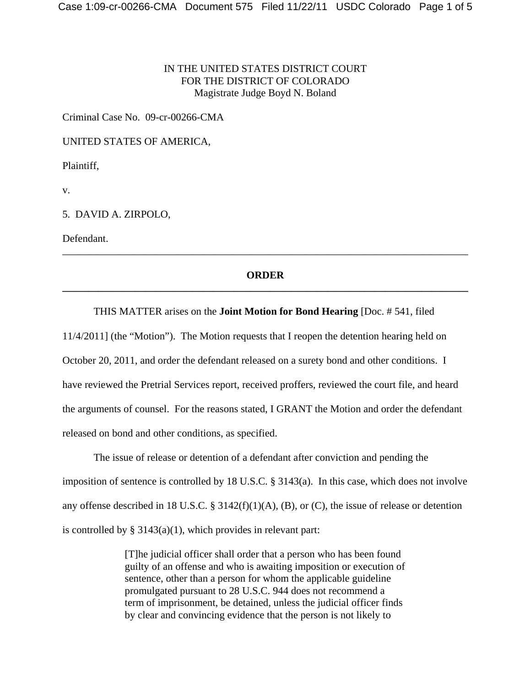## IN THE UNITED STATES DISTRICT COURT FOR THE DISTRICT OF COLORADO Magistrate Judge Boyd N. Boland

Criminal Case No. 09-cr-00266-CMA

UNITED STATES OF AMERICA,

Plaintiff,

v.

5. DAVID A. ZIRPOLO,

Defendant.

## **ORDER \_\_\_\_\_\_\_\_\_\_\_\_\_\_\_\_\_\_\_\_\_\_\_\_\_\_\_\_\_\_\_\_\_\_\_\_\_\_\_\_\_\_\_\_\_\_\_\_\_\_\_\_\_\_\_\_\_\_\_\_\_\_\_\_\_\_\_\_\_\_\_\_\_\_\_\_\_\_**

\_\_\_\_\_\_\_\_\_\_\_\_\_\_\_\_\_\_\_\_\_\_\_\_\_\_\_\_\_\_\_\_\_\_\_\_\_\_\_\_\_\_\_\_\_\_\_\_\_\_\_\_\_\_\_\_\_\_\_\_\_\_\_\_\_\_\_\_\_\_\_\_\_\_\_\_\_\_

### THIS MATTER arises on the **Joint Motion for Bond Hearing** [Doc. # 541, filed

11/4/2011] (the "Motion"). The Motion requests that I reopen the detention hearing held on October 20, 2011, and order the defendant released on a surety bond and other conditions. I have reviewed the Pretrial Services report, received proffers, reviewed the court file, and heard the arguments of counsel. For the reasons stated, I GRANT the Motion and order the defendant released on bond and other conditions, as specified.

The issue of release or detention of a defendant after conviction and pending the imposition of sentence is controlled by 18 U.S.C. § 3143(a). In this case, which does not involve any offense described in 18 U.S.C. § 3142(f)(1)(A), (B), or (C), the issue of release or detention is controlled by  $\S 3143(a)(1)$ , which provides in relevant part:

> [T]he judicial officer shall order that a person who has been found guilty of an offense and who is awaiting imposition or execution of sentence, other than a person for whom the applicable guideline promulgated pursuant to 28 U.S.C. 944 does not recommend a term of imprisonment, be detained, unless the judicial officer finds by clear and convincing evidence that the person is not likely to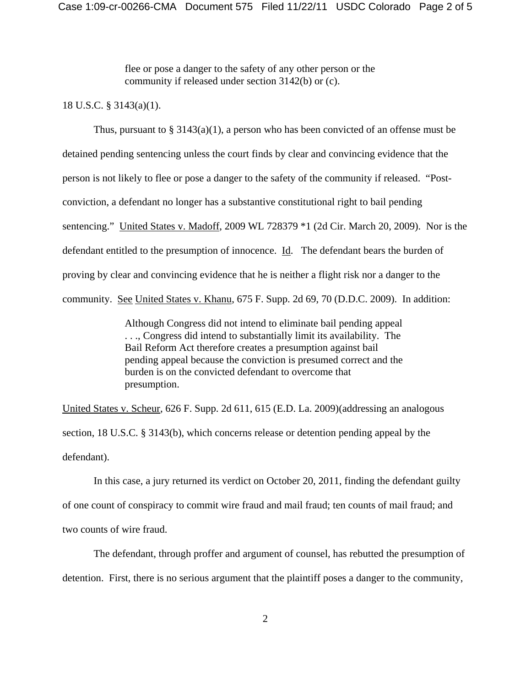flee or pose a danger to the safety of any other person or the community if released under section 3142(b) or (c).

#### 18 U.S.C. § 3143(a)(1).

Thus, pursuant to  $\S 3143(a)(1)$ , a person who has been convicted of an offense must be detained pending sentencing unless the court finds by clear and convincing evidence that the person is not likely to flee or pose a danger to the safety of the community if released. "Postconviction, a defendant no longer has a substantive constitutional right to bail pending sentencing." United States v. Madoff, 2009 WL 728379 \*1 (2d Cir. March 20, 2009). Nor is the defendant entitled to the presumption of innocence. Id. The defendant bears the burden of proving by clear and convincing evidence that he is neither a flight risk nor a danger to the community. See United States v. Khanu, 675 F. Supp. 2d 69, 70 (D.D.C. 2009). In addition:

> Although Congress did not intend to eliminate bail pending appeal . . ., Congress did intend to substantially limit its availability. The Bail Reform Act therefore creates a presumption against bail pending appeal because the conviction is presumed correct and the burden is on the convicted defendant to overcome that presumption.

United States v. Scheur, 626 F. Supp. 2d 611, 615 (E.D. La. 2009)(addressing an analogous section, 18 U.S.C. § 3143(b), which concerns release or detention pending appeal by the defendant).

In this case, a jury returned its verdict on October 20, 2011, finding the defendant guilty of one count of conspiracy to commit wire fraud and mail fraud; ten counts of mail fraud; and two counts of wire fraud.

The defendant, through proffer and argument of counsel, has rebutted the presumption of detention. First, there is no serious argument that the plaintiff poses a danger to the community,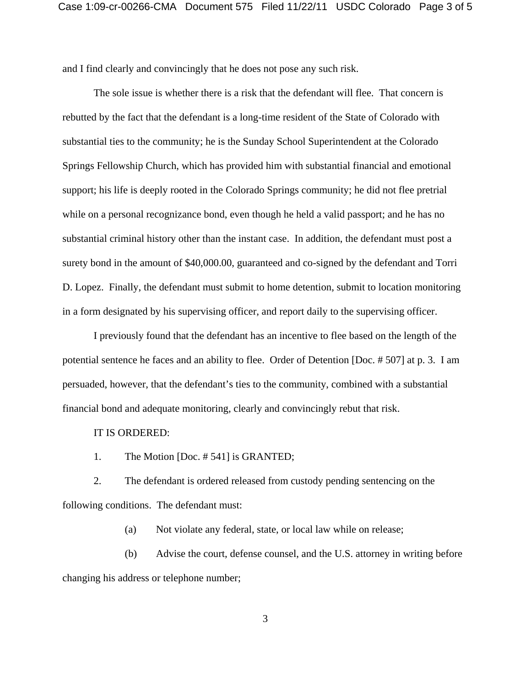and I find clearly and convincingly that he does not pose any such risk.

The sole issue is whether there is a risk that the defendant will flee. That concern is rebutted by the fact that the defendant is a long-time resident of the State of Colorado with substantial ties to the community; he is the Sunday School Superintendent at the Colorado Springs Fellowship Church, which has provided him with substantial financial and emotional support; his life is deeply rooted in the Colorado Springs community; he did not flee pretrial while on a personal recognizance bond, even though he held a valid passport; and he has no substantial criminal history other than the instant case. In addition, the defendant must post a surety bond in the amount of \$40,000.00, guaranteed and co-signed by the defendant and Torri D. Lopez. Finally, the defendant must submit to home detention, submit to location monitoring in a form designated by his supervising officer, and report daily to the supervising officer.

I previously found that the defendant has an incentive to flee based on the length of the potential sentence he faces and an ability to flee. Order of Detention [Doc. # 507] at p. 3. I am persuaded, however, that the defendant's ties to the community, combined with a substantial financial bond and adequate monitoring, clearly and convincingly rebut that risk.

#### IT IS ORDERED:

1. The Motion [Doc. # 541] is GRANTED;

2. The defendant is ordered released from custody pending sentencing on the following conditions. The defendant must:

(a) Not violate any federal, state, or local law while on release;

(b) Advise the court, defense counsel, and the U.S. attorney in writing before changing his address or telephone number;

3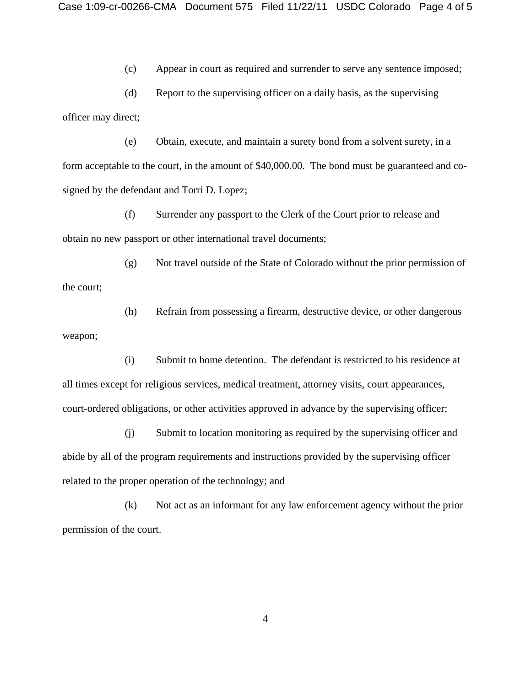(c) Appear in court as required and surrender to serve any sentence imposed;

(d) Report to the supervising officer on a daily basis, as the supervising officer may direct;

(e) Obtain, execute, and maintain a surety bond from a solvent surety, in a form acceptable to the court, in the amount of \$40,000.00. The bond must be guaranteed and cosigned by the defendant and Torri D. Lopez;

(f) Surrender any passport to the Clerk of the Court prior to release and obtain no new passport or other international travel documents;

(g) Not travel outside of the State of Colorado without the prior permission of the court;

(h) Refrain from possessing a firearm, destructive device, or other dangerous weapon;

(i) Submit to home detention. The defendant is restricted to his residence at all times except for religious services, medical treatment, attorney visits, court appearances, court-ordered obligations, or other activities approved in advance by the supervising officer;

(j) Submit to location monitoring as required by the supervising officer and abide by all of the program requirements and instructions provided by the supervising officer related to the proper operation of the technology; and

(k) Not act as an informant for any law enforcement agency without the prior permission of the court.

4